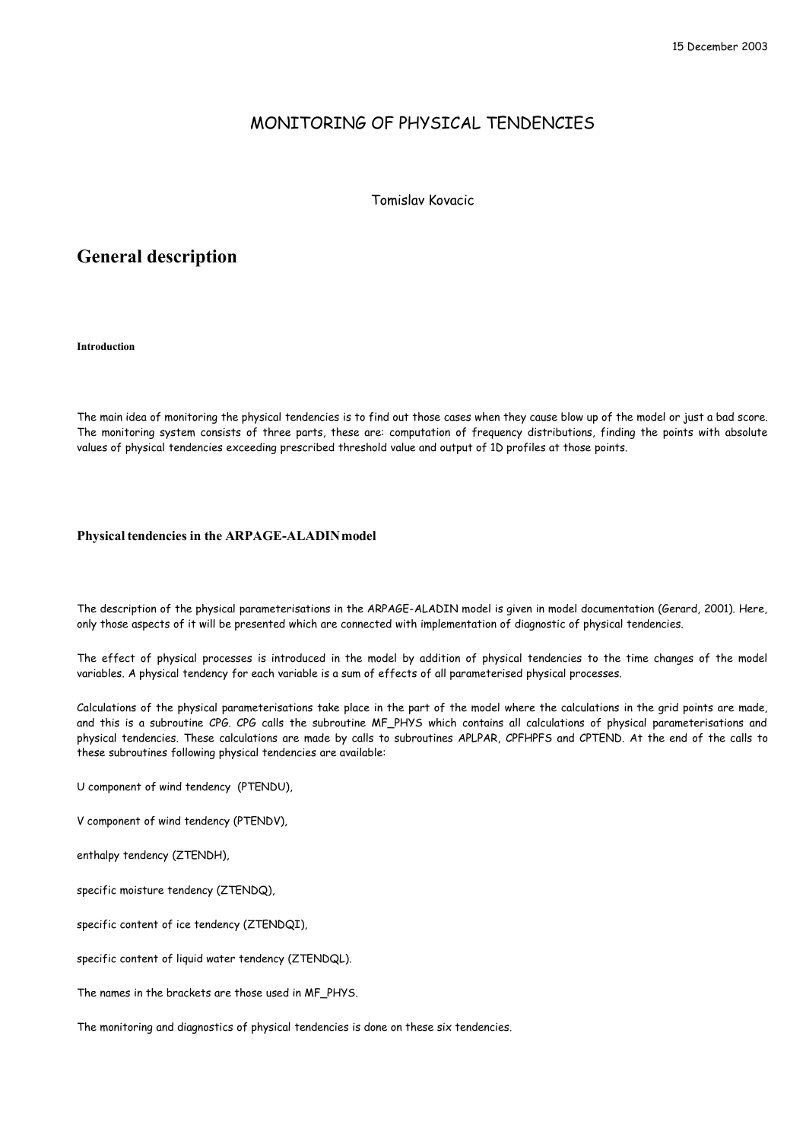## MONITORING OF PHYSICAL TENDENCIES

Tomislav Kovacic

# **General description**

**Introduction**

The main idea of monitoring the physical tendencies is to find out those cases when they cause blow up of the model or just a bad score. The monitoring system consists of three parts, these are: computation of frequency distributions, finding the points with absolute values of physical tendencies exceeding prescribed threshold value and output of 1D profiles at those points.

## **Physical tendencies in the ARPAGE-ALADIN model**

The description of the physical parameterisations in the ARPAGE-ALADIN model is given in model documentation (Gerard, 2001). Here, only those aspects of it will be presented which are connected with implementation of diagnostic of physical tendencies.

The effect of physical processes is introduced in the model by addition of physical tendencies to the time changes of the model variables. A physical tendency for each variable is a sum of effects of all parameterised physical processes.

Calculations of the physical parameterisations take place in the part of the model where the calculations in the grid points are made, and this is a subroutine CPG. CPG calls the subroutine MF\_PHYS which contains all calculations of physical parameterisations and physical tendencies. These calculations are made by calls to subroutines APLPAR, CPFHPFS and CPTEND. At the end of the calls to these subroutines following physical tendencies are available:

U component of wind tendency (PTENDU),

V component of wind tendency (PTENDV),

enthalpy tendency (ZTENDH),

specific moisture tendency (ZTENDQ),

specific content of ice tendency (ZTENDQI),

specific content of liquid water tendency (ZTENDQL).

The names in the brackets are those used in MF\_PHYS.

The monitoring and diagnostics of physical tendencies is done on these six tendencies.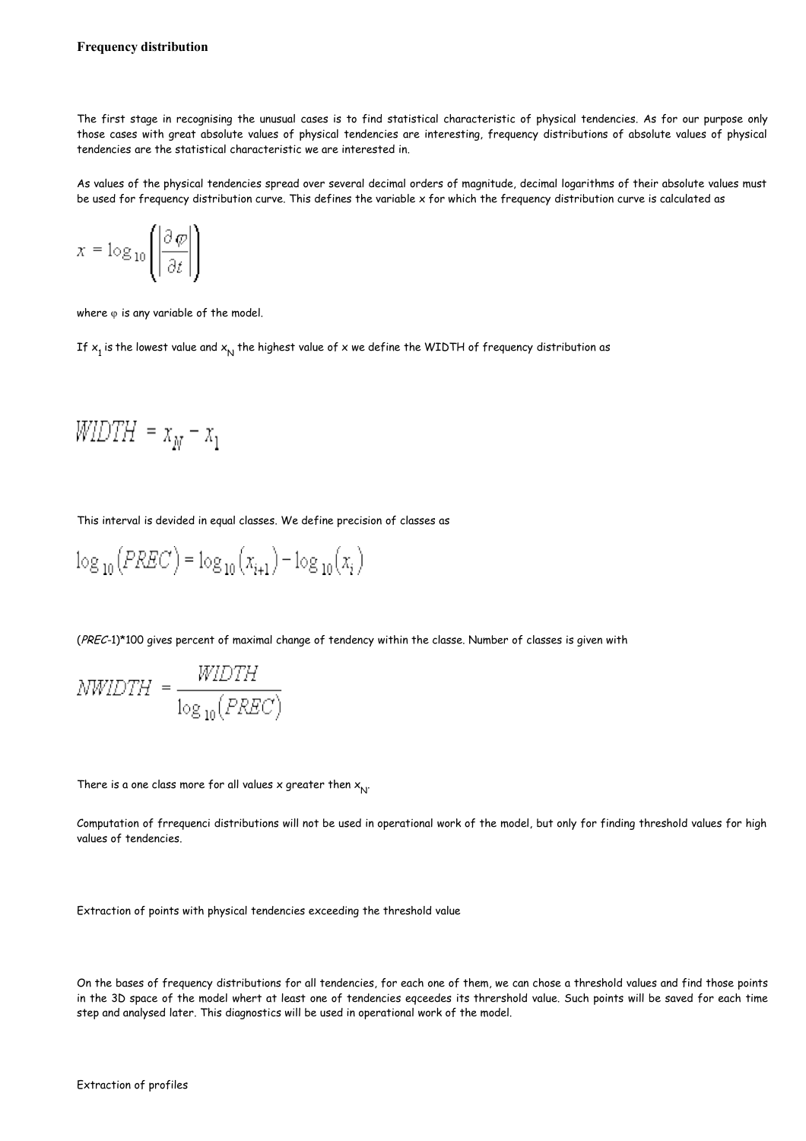The first stage in recognising the unusual cases is to find statistical characteristic of physical tendencies. As for our purpose only those cases with great absolute values of physical tendencies are interesting, frequency distributions of absolute values of physical tendencies are the statistical characteristic we are interested in.

As values of the physical tendencies spread over several decimal orders of magnitude, decimal logarithms of their absolute values must be used for frequency distribution curve. This defines the variable x for which the frequency distribution curve is calculated as

$$
x = \log_{10}\left(\left|\frac{\partial \varphi}{\partial t}\right|\right)
$$

where  $\varphi$  is any variable of the model.

If  $\mathsf{x}_{\mathtt{i}}$  is the lowest value and  $\mathsf{x}_{\mathsf{N}}$  the highest value of x we define the WIDTH of frequency distribution as

$$
WIDTH = x_N - x_1
$$

This interval is devided in equal classes. We define precision of classes as

$$
\log_{10}(PREC) = \log_{10}(x_{i+1}) - \log_{10}(x_i)
$$

(PREC-1)\*100 gives percent of maximal change of tendency within the classe. Number of classes is given with

$$
NWIDTH = \frac{WIDTH}{\log_{10}(PREC)}
$$

There is a one class more for all values **x** greater then  $\mathsf{x}_\mathsf{N}^{\mathsf{p}}$ 

Computation of frrequenci distributions will not be used in operational work of the model, but only for finding threshold values for high values of tendencies.

Extraction of points with physical tendencies exceeding the threshold value

On the bases of frequency distributions for all tendencies, for each one of them, we can chose a threshold values and find those points in the 3D space of the model whert at least one of tendencies eqceedes its thrershold value. Such points will be saved for each time step and analysed later. This diagnostics will be used in operational work of the model.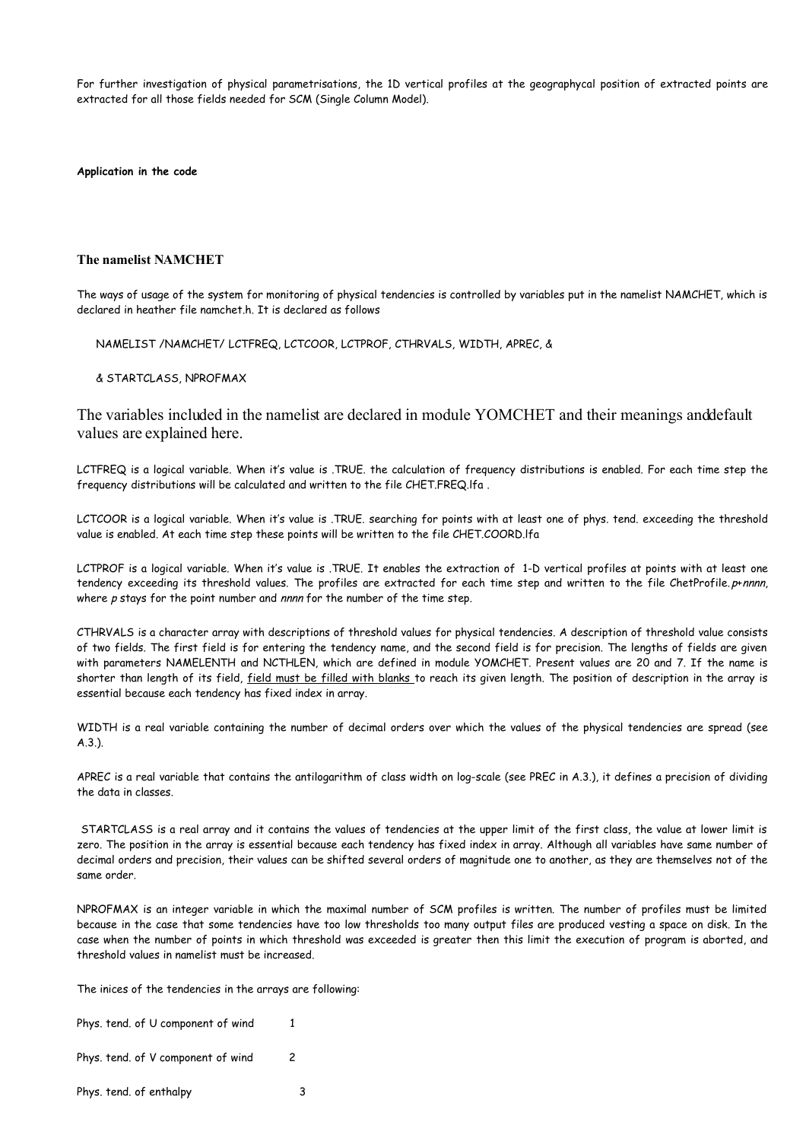For further investigation of physical parametrisations, the 1D vertical profiles at the geographycal position of extracted points are extracted for all those fields needed for SCM (Single Column Model).

**Application in the code**

## **The namelist NAMCHET**

The ways of usage of the system for monitoring of physical tendencies is controlled by variables put in the namelist NAMCHET, which is declared in heather file namchet.h. It is declared as follows

NAMELIST /NAMCHET/ LCTFREQ, LCTCOOR, LCTPROF, CTHRVALS, WIDTH, APREC, &

& STARTCLASS, NPROFMAX

The variables included in the namelist are declared in module YOMCHET and their meanings and default values are explained here.

LCTFREQ is a logical variable. When it's value is .TRUE. the calculation of frequency distributions is enabled. For each time step the frequency distributions will be calculated and written to the file CHET.FREQ.lfa .

LCTCOOR is a logical variable. When it's value is .TRUE. searching for points with at least one of phys. tend. exceeding the threshold value is enabled. At each time step these points will be written to the file CHET.COORD.lfa

LCTPROF is a logical variable. When it's value is .TRUE. It enables the extraction of 1-D vertical profiles at points with at least one tendency exceeding its threshold values. The profiles are extracted for each time step and written to the file ChetProfile. p+nnnn, where  $p$  stays for the point number and  $nnnn$  for the number of the time step.

CTHRVALS is a character array with descriptions of threshold values for physical tendencies. A description of threshold value consists of two fields. The first field is for entering the tendency name, and the second field is for precision. The lengths of fields are given with parameters NAMELENTH and NCTHLEN, which are defined in module YOMCHET. Present values are 20 and 7. If the name is shorter than length of its field, field must be filled with blanks to reach its given length. The position of description in the array is essential because each tendency has fixed index in array.

WIDTH is a real variable containing the number of decimal orders over which the values of the physical tendencies are spread (see A.3.).

APREC is a real variable that contains the antilogarithm of class width on log-scale (see PREC in A.3.), it defines a precision of dividing the data in classes.

STARTCLASS is a real array and it contains the values of tendencies at the upper limit of the first class, the value at lower limit is zero. The position in the array is essential because each tendency has fixed index in array. Although all variables have same number of decimal orders and precision, their values can be shifted several orders of magnitude one to another, as they are themselves not of the same order.

NPROFMAX is an integer variable in which the maximal number of SCM profiles is written. The number of profiles must be limited because in the case that some tendencies have too low thresholds too many output files are produced vesting a space on disk. In the case when the number of points in which threshold was exceeded is greater then this limit the execution of program is aborted, and threshold values in namelist must be increased.

The inices of the tendencies in the arrays are following:

Phys. tend. of U component of wind 1

Phys. tend. of V component of wind 2

Phys. tend. of enthalpy 3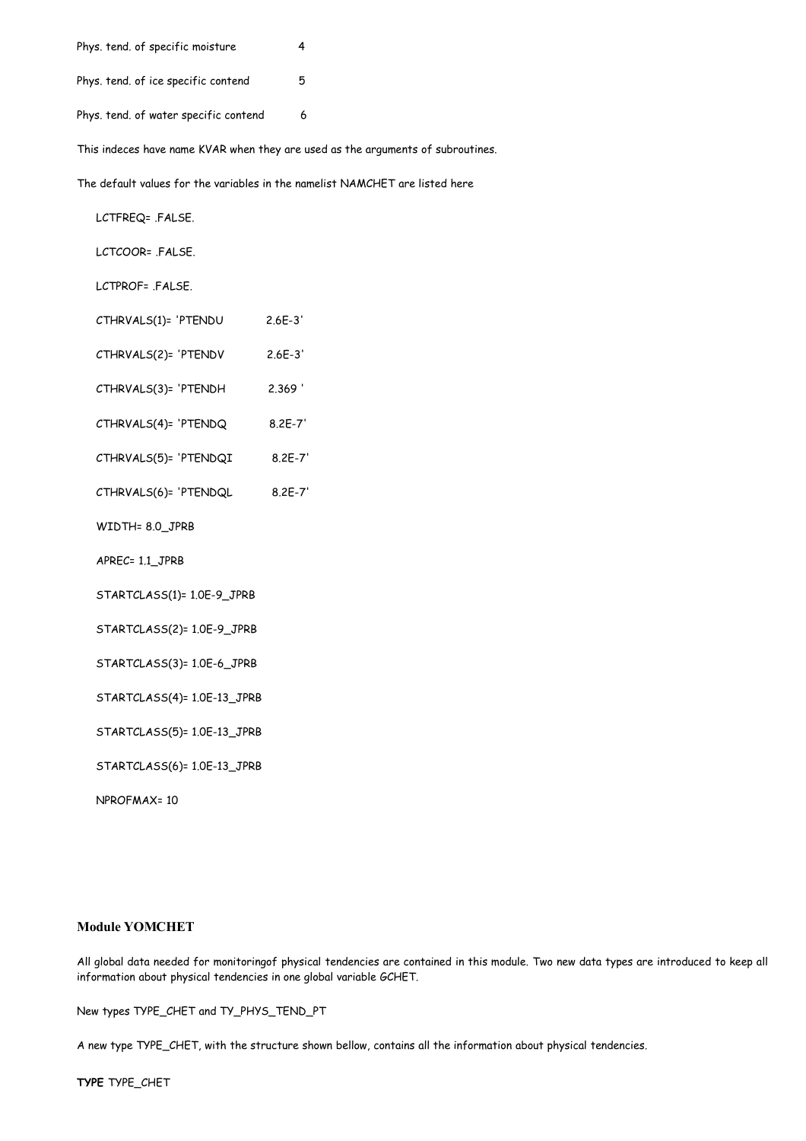Phys. tend. of specific moisture 4 Phys. tend. of ice specific contend 5

Phys. tend. of water specific contend 6

This indeces have name KVAR when they are used as the arguments of subroutines.

The default values for the variables in the namelist NAMCHET are listed here

LCTFREQ= .FALSE.

LCTCOOR= .FALSE.

LCTPROF= .FALSE.

- CTHRVALS(1)= 'PTENDU 2.6E-3'
- CTHRVALS(2)= 'PTENDV 2.6E-3'
- CTHRVALS(3)= 'PTENDH 2.369 '
- CTHRVALS(4)= 'PTENDQ 8.2E-7'
- CTHRVALS(5)= 'PTENDQI 8.2E-7'
- CTHRVALS(6)= 'PTENDQL 8.2E-7'
- WIDTH= 8.0\_JPRB
- APREC= 1.1\_JPRB
- STARTCLASS(1)= 1.0E-9\_JPRB
- STARTCLASS(2)= 1.0E-9\_JPRB
- STARTCLASS(3)= 1.0E-6\_JPRB
- STARTCLASS(4)= 1.0E-13\_JPRB

STARTCLASS(5)= 1.0E-13\_JPRB

STARTCLASS(6)= 1.0E-13\_JPRB

NPROFMAX= 10

## **Module YOMCHET**

All global data needed for monitoringof physical tendencies are contained in this module. Two new data types are introduced to keep all information about physical tendencies in one global variable GCHET.

New types TYPE\_CHET and TY\_PHYS\_TEND\_PT

A new type TYPE\_CHET, with the structure shown bellow, contains all the information about physical tendencies.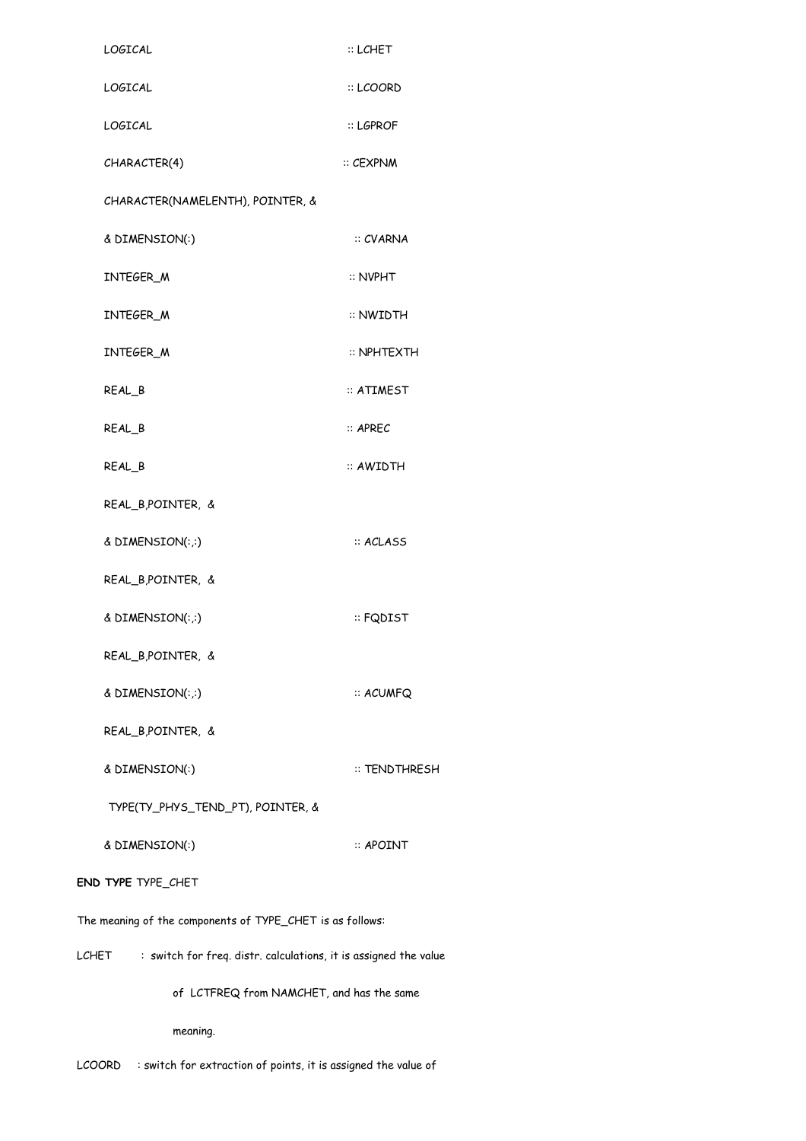| LOGICAL                                                                   | $::$ LCHET                |  |
|---------------------------------------------------------------------------|---------------------------|--|
| LOGICAL                                                                   | :: LCOORD                 |  |
| LOGICAL                                                                   | ። LGPROF                  |  |
| CHARACTER(4)                                                              | $::$ $CEXPNM$             |  |
| CHARACTER(NAMELENTH), POINTER, &                                          |                           |  |
| & DIMENSION(:)                                                            | :: CVARNA                 |  |
| INTEGER_M                                                                 | $\therefore$ NVPHT        |  |
| INTEGER M                                                                 | :: NWIDTH                 |  |
| INTEGER_M                                                                 | :: NPHTEXTH               |  |
| REAL <sub>B</sub>                                                         | $::$ <code>ATIMEST</code> |  |
| REAL <sub>B</sub>                                                         | $::$ APREC                |  |
| REAL <sub>B</sub>                                                         | ። AWIDTH                  |  |
| REAL_B,POINTER, &                                                         |                           |  |
| & $DIMENSION(:,:)$                                                        | :: ACLASS                 |  |
| REAL_B,POINTER, &                                                         |                           |  |
| & $DIMENSION(:,:)$                                                        | ። FQDIST                  |  |
| REAL_B,POINTER, &                                                         |                           |  |
| & DIMENSION(:,:)                                                          | :: ACUMFQ                 |  |
| REAL_B,POINTER, &                                                         |                           |  |
| & DIMENSION(:)                                                            | :: TENDTHRESH             |  |
| TYPE(TY_PHYS_TEND_PT), POINTER, &                                         |                           |  |
| & DIMENSION(:)                                                            | $\therefore$ APOINT       |  |
| END TYPE TYPE_CHET                                                        |                           |  |
| The meaning of the components of TYPE_CHET is as follows:                 |                           |  |
| : switch for freq. distr. calculations, it is assigned the value<br>LCHET |                           |  |
| of LCTFREQ from NAMCHET, and has the same                                 |                           |  |
| meaning.                                                                  |                           |  |

LCOORD : switch for extraction of points, it is assigned the value of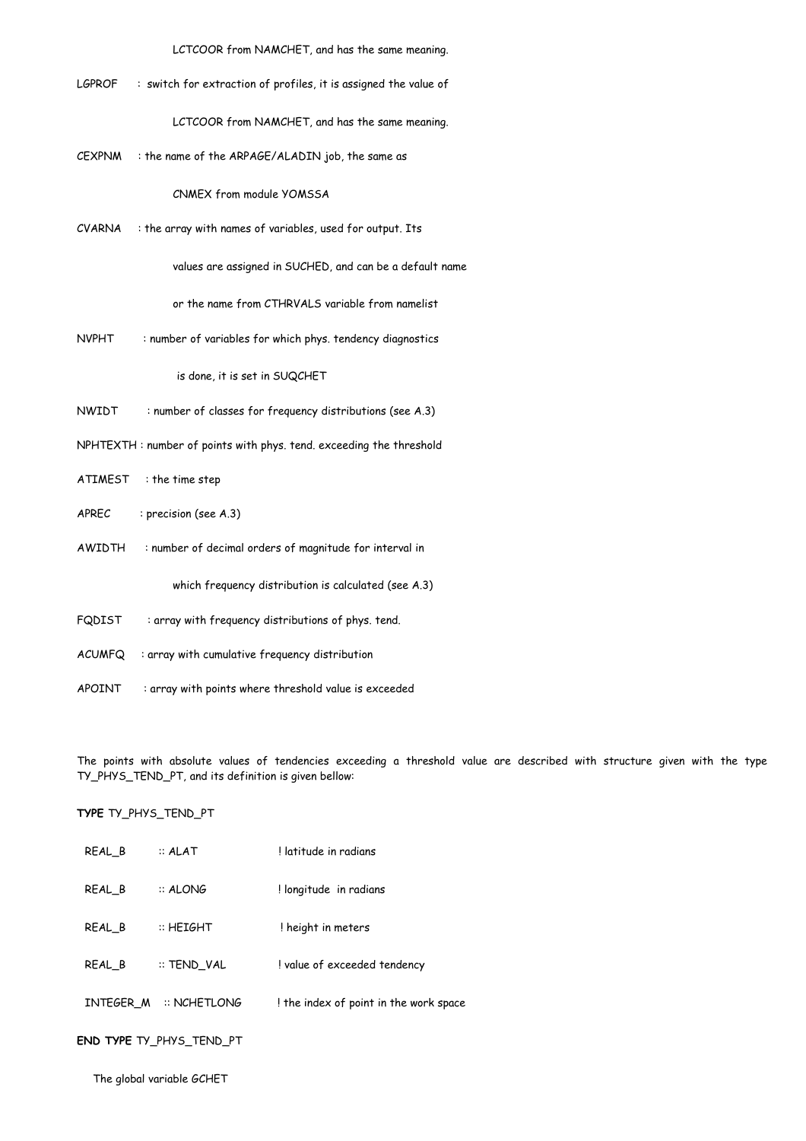LCTCOOR from NAMCHET, and has the same meaning.

LGPROF : switch for extraction of profiles, it is assigned the value of

LCTCOOR from NAMCHET, and has the same meaning.

CEXPNM : the name of the ARPAGE/ALADIN job, the same as

CNMEX from module YOMSSA

CVARNA : the array with names of variables, used for output. Its

values are assigned in SUCHED, and can be a default name

or the name from CTHRVALS variable from namelist

NVPHT : number of variables for which phys. tendency diagnostics

is done, it is set in SUQCHET

- NWIDT : number of classes for frequency distributions (see A.3)
- NPHTEXTH : number of points with phys. tend. exceeding the threshold
- ATIMEST : the time step
- APREC : precision (see A.3)
- AWIDTH : number of decimal orders of magnitude for interval in

which frequency distribution is calculated (see A.3)

- FQDIST : array with frequency distributions of phys. tend.
- ACUMFQ : array with cumulative frequency distribution
- APOINT : array with points where threshold value is exceeded

The points with absolute values of tendencies exceeding a threshold value are described with structure given with the type TY\_PHYS\_TEND\_PT, and its definition is given bellow:

**TYPE** TY\_PHYS\_TEND\_PT

| REAL <sub>B</sub> | $::$ ALAT      | I latitude in radians                  |
|-------------------|----------------|----------------------------------------|
| REAL B            | $::$ ALONG     | ! longitude in radians                 |
| REAL B            | $::$ HFIGHT    | ! height in meters                     |
| REAL B            | :: TEND VAL    | ! value of exceeded tendency           |
| INTEGER M         | $::$ NCHFTLONG | ! the index of point in the work space |
|                   |                |                                        |

**END TYPE** TY\_PHYS\_TEND\_PT

The global variable GCHET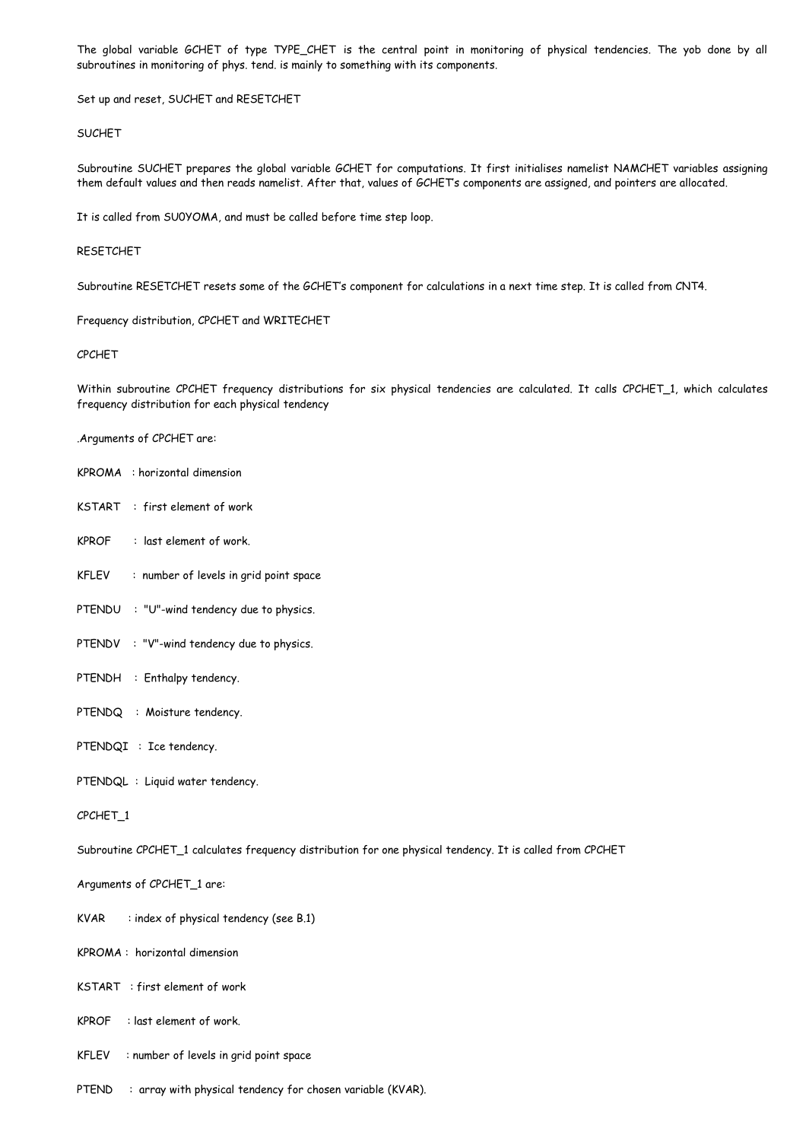The global variable GCHET of type TYPE\_CHET is the central point in monitoring of physical tendencies. The yob done by all subroutines in monitoring of phys. tend. is mainly to something with its components.

Set up and reset, SUCHET and RESETCHET

## SUCHET

Subroutine SUCHET prepares the global variable GCHET for computations. It first initialises namelist NAMCHET variables assigning them default values and then reads namelist. After that, values of GCHET's components are assigned, and pointers are allocated.

It is called from SU0YOMA, and must be called before time step loop.

#### RESETCHET

Subroutine RESETCHET resets some of the GCHET's component for calculations in a next time step. It is called from CNT4.

Frequency distribution, CPCHET and WRITECHET

## CPCHET

Within subroutine CPCHET frequency distributions for six physical tendencies are calculated. It calls CPCHET\_1, which calculates frequency distribution for each physical tendency

.Arguments of CPCHET are:

- KPROMA : horizontal dimension
- KSTART : first element of work
- KPROF : last element of work.
- KFLEV : number of levels in grid point space
- PTENDU : "U"-wind tendency due to physics.
- PTENDV : "V"-wind tendency due to physics.
- PTENDH : Enthalpy tendency.
- PTENDQ : Moisture tendency.
- PTENDQI : Ice tendency.
- PTENDQL : Liquid water tendency.

CPCHET\_1

Subroutine CPCHET\_1 calculates frequency distribution for one physical tendency. It is called from CPCHET

Arguments of CPCHET\_1 are:

- $KVAR$  : index of physical tendency (see B.1)
- KPROMA : horizontal dimension
- KSTART : first element of work
- KPROF : last element of work.
- KFLEV : number of levels in grid point space
- PTEND : array with physical tendency for chosen variable (KVAR).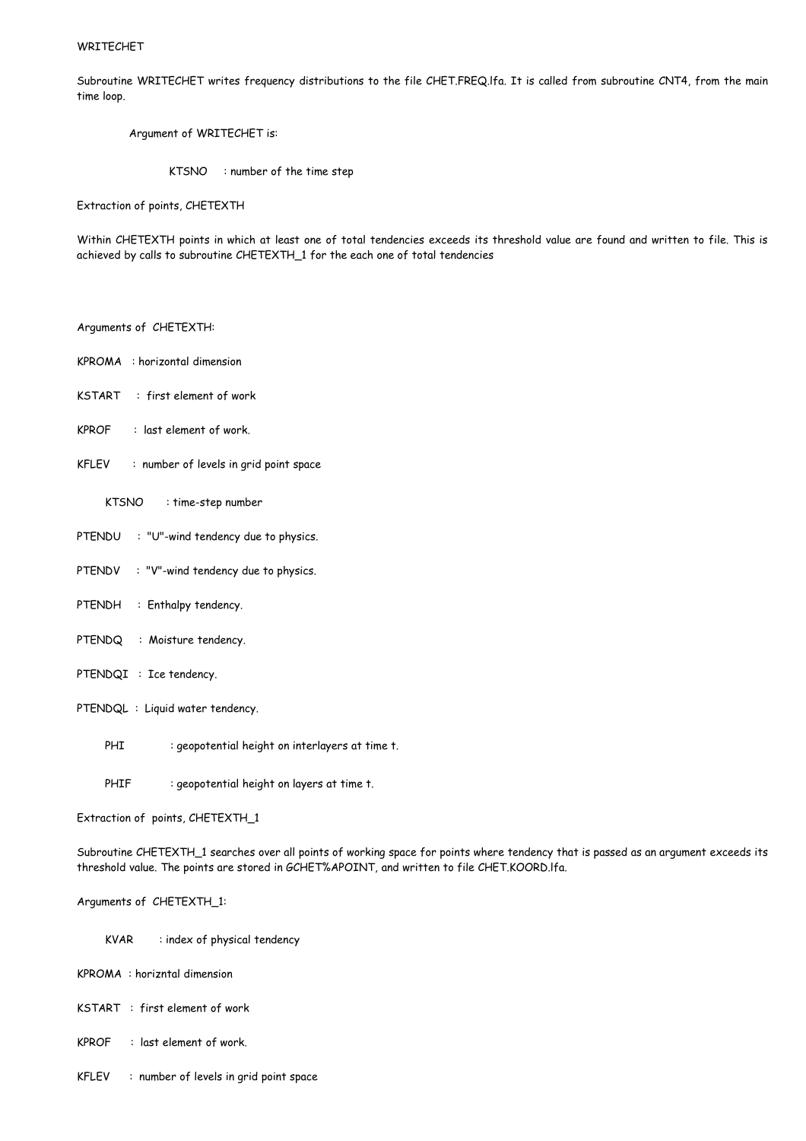## WRITECHET

Subroutine WRITECHET writes frequency distributions to the file CHET.FREQ.lfa. It is called from subroutine CNT4, from the main time loop.

Argument of WRITECHET is:

KTSNO : number of the time step

Extraction of points, CHETEXTH

Within CHETEXTH points in which at least one of total tendencies exceeds its threshold value are found and written to file. This is achieved by calls to subroutine CHETEXTH\_1 for the each one of total tendencies

- Arguments of CHETEXTH:
- KPROMA : horizontal dimension
- KSTART : first element of work
- KPROF : last element of work.
- KFLEV : number of levels in grid point space
	- KTSNO : time-step number
- PTENDU : "U"-wind tendency due to physics.
- PTENDV : "V"-wind tendency due to physics.
- PTENDH : Enthalpy tendency.
- PTENDQ : Moisture tendency.
- PTENDQI : Ice tendency.
- PTENDQL : Liquid water tendency.
	- PHI : geopotential height on interlayers at time t.
	- PHIF : geopotential height on layers at time t.

Extraction of points, CHETEXTH\_1

Subroutine CHETEXTH\_1 searches over all points of working space for points where tendency that is passed as an argument exceeds its threshold value. The points are stored in GCHET%APOINT, and written to file CHET.KOORD.lfa.

## Arguments of CHETEXTH\_1:

- KVAR : index of physical tendency
- KPROMA : horizntal dimension
- KSTART : first element of work
- KPROF : last element of work.
- KFLEV : number of levels in grid point space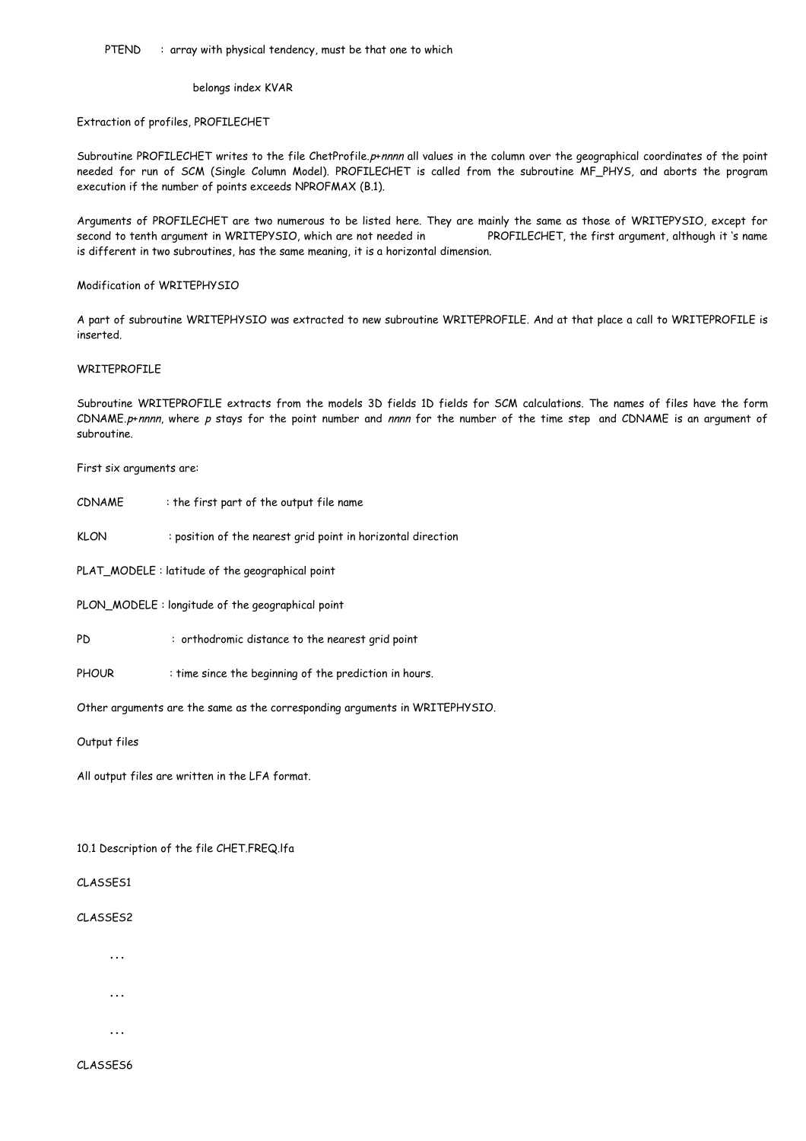belongs index KVAR

Extraction of profiles, PROFILECHET

Subroutine PROFILECHET writes to the file ChetProfile.p+nnnn all values in the column over the geographical coordinates of the point needed for run of SCM (Single Column Model). PROFILECHET is called from the subroutine MF\_PHYS, and aborts the program execution if the number of points exceeds NPROFMAX (B.1).

Arguments of PROFILECHET are two numerous to be listed here. They are mainly the same as those of WRITEPYSIO, except for second to tenth argument in WRITEPYSIO, which are not needed in PROFILECHET, the first argument, although it 's name is different in two subroutines, has the same meaning, it is a horizontal dimension.

#### Modification of WRITEPHYSIO

A part of subroutine WRITEPHYSIO was extracted to new subroutine WRITEPROFILE. And at that place a call to WRITEPROFILE is inserted.

#### WRITEPROFILE

Subroutine WRITEPROFILE extracts from the models 3D fields 1D fields for SCM calculations. The names of files have the form CDNAME.p+nnnn, where p stays for the point number and nnnn for the number of the time step and CDNAME is an argument of subroutine.

First six arguments are:

- CDNAME : the first part of the output file name
- KLON : position of the nearest grid point in horizontal direction

PLAT\_MODELE : latitude of the geographical point

PLON\_MODELE : longitude of the geographical point

- PD : orthodromic distance to the nearest grid point
- PHOUR : time since the beginning of the prediction in hours.

Other arguments are the same as the corresponding arguments in WRITEPHYSIO.

Output files

All output files are written in the LFA format.

10.1 Description of the file CHET.FREQ.lfa

CLASSES1

CLASSES2

…

- …
- 

…

CLASSES6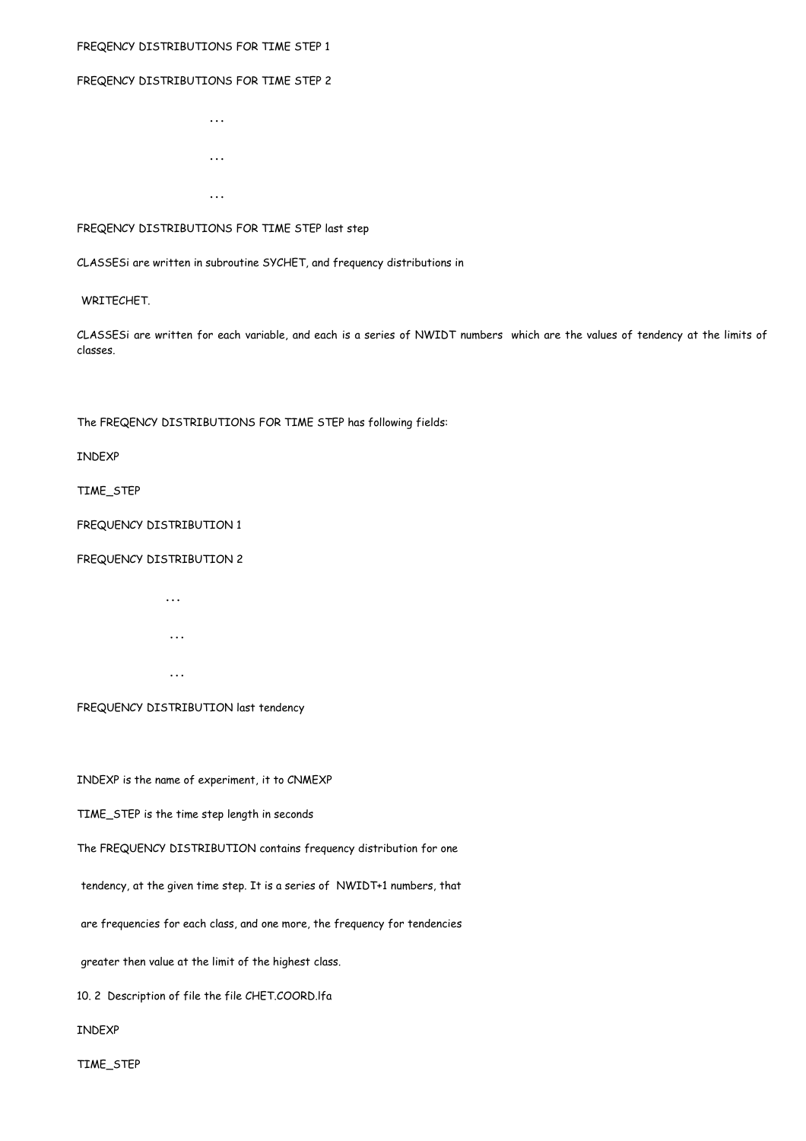## FREQENCY DISTRIBUTIONS FOR TIME STEP 1

## FREQENCY DISTRIBUTIONS FOR TIME STEP 2

… …

…

## FREQENCY DISTRIBUTIONS FOR TIME STEP last step

CLASSESi are written in subroutine SYCHET, and frequency distributions in

#### WRITECHET.

CLASSESi are written for each variable, and each is a series of NWIDT numbers which are the values of tendency at the limits of classes.

The FREQENCY DISTRIBUTIONS FOR TIME STEP has following fields:

INDEXP

TIME\_STEP

FREQUENCY DISTRIBUTION 1

## FREQUENCY DISTRIBUTION 2

 … … …

FREQUENCY DISTRIBUTION last tendency

INDEXP is the name of experiment, it to CNMEXP

TIME\_STEP is the time step length in seconds

The FREQUENCY DISTRIBUTION contains frequency distribution for one

tendency, at the given time step. It is a series of NWIDT+1 numbers, that

are frequencies for each class, and one more, the frequency for tendencies

greater then value at the limit of the highest class.

10. 2 Description of file the file CHET.COORD.lfa

INDEXP

TIME\_STEP